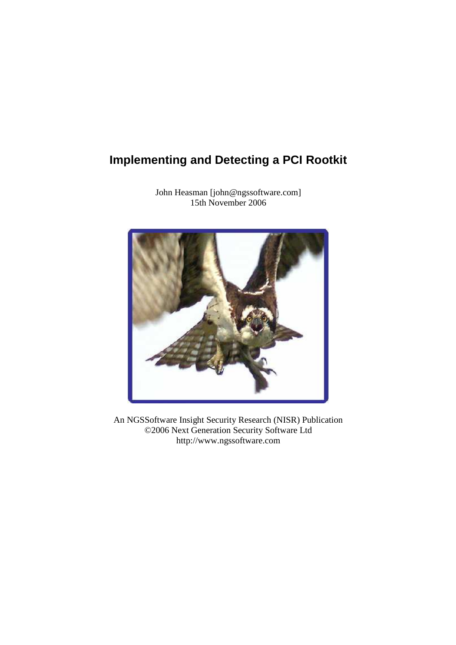# **Implementing and Detecting a PCI Rootkit**



John Heasman [john@ngssoftware.com] 15th November 2006

An NGSSoftware Insight Security Research (NISR) Publication ©2006 Next Generation Security Software Ltd http://www.ngssoftware.com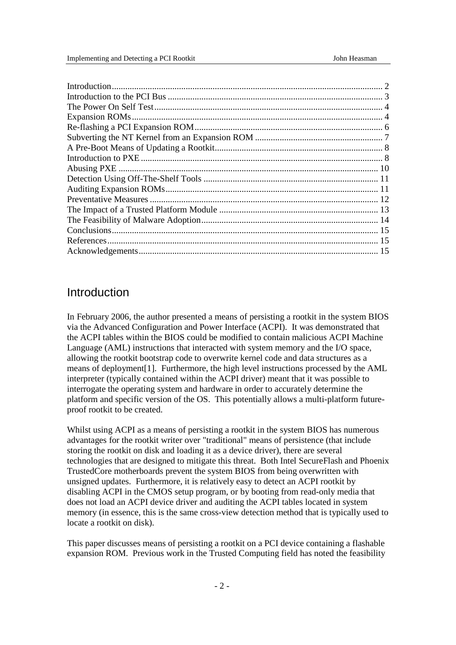### Introduction

In February 2006, the author presented a means of persisting a rootkit in the system BIOS via the Advanced Configuration and Power Interface (ACPI). It was demonstrated that the ACPI tables within the BIOS could be modified to contain malicious ACPI Machine Language (AML) instructions that interacted with system memory and the I/O space, allowing the rootkit bootstrap code to overwrite kernel code and data structures as a means of deployment[1]. Furthermore, the high level instructions processed by the AML interpreter (typically contained within the ACPI driver) meant that it was possible to interrogate the operating system and hardware in order to accurately determine the platform and specific version of the OS. This potentially allows a multi-platform futureproof rootkit to be created.

Whilst using ACPI as a means of persisting a rootkit in the system BIOS has numerous advantages for the rootkit writer over "traditional" means of persistence (that include storing the rootkit on disk and loading it as a device driver), there are several technologies that are designed to mitigate this threat. Both Intel SecureFlash and Phoenix TrustedCore motherboards prevent the system BIOS from being overwritten with unsigned updates. Furthermore, it is relatively easy to detect an ACPI rootkit by disabling ACPI in the CMOS setup program, or by booting from read-only media that does not load an ACPI device driver and auditing the ACPI tables located in system memory (in essence, this is the same cross-view detection method that is typically used to locate a rootkit on disk).

This paper discusses means of persisting a rootkit on a PCI device containing a flashable expansion ROM. Previous work in the Trusted Computing field has noted the feasibility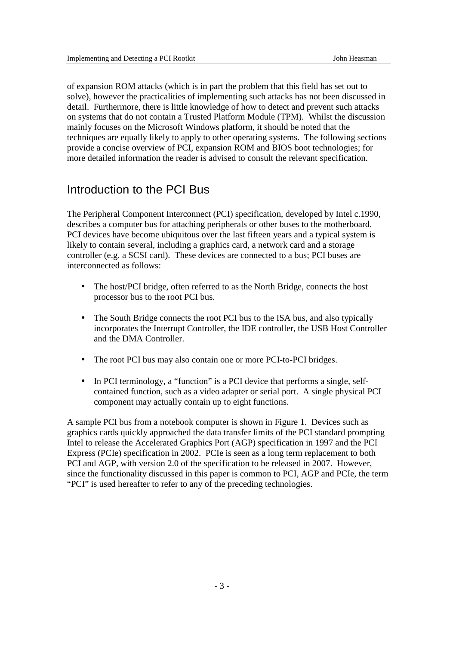of expansion ROM attacks (which is in part the problem that this field has set out to solve), however the practicalities of implementing such attacks has not been discussed in detail. Furthermore, there is little knowledge of how to detect and prevent such attacks on systems that do not contain a Trusted Platform Module (TPM). Whilst the discussion mainly focuses on the Microsoft Windows platform, it should be noted that the techniques are equally likely to apply to other operating systems. The following sections provide a concise overview of PCI, expansion ROM and BIOS boot technologies; for more detailed information the reader is advised to consult the relevant specification.

### Introduction to the PCI Bus

The Peripheral Component Interconnect (PCI) specification, developed by Intel c.1990, describes a computer bus for attaching peripherals or other buses to the motherboard. PCI devices have become ubiquitous over the last fifteen years and a typical system is likely to contain several, including a graphics card, a network card and a storage controller (e.g. a SCSI card). These devices are connected to a bus; PCI buses are interconnected as follows:

- The host/PCI bridge, often referred to as the North Bridge, connects the host processor bus to the root PCI bus.
- The South Bridge connects the root PCI bus to the ISA bus, and also typically incorporates the Interrupt Controller, the IDE controller, the USB Host Controller and the DMA Controller.
- The root PCI bus may also contain one or more PCI-to-PCI bridges.
- In PCI terminology, a "function" is a PCI device that performs a single, selfcontained function, such as a video adapter or serial port. A single physical PCI component may actually contain up to eight functions.

A sample PCI bus from a notebook computer is shown in Figure 1. Devices such as graphics cards quickly approached the data transfer limits of the PCI standard prompting Intel to release the Accelerated Graphics Port (AGP) specification in 1997 and the PCI Express (PCIe) specification in 2002. PCIe is seen as a long term replacement to both PCI and AGP, with version 2.0 of the specification to be released in 2007. However, since the functionality discussed in this paper is common to PCI, AGP and PCIe, the term "PCI" is used hereafter to refer to any of the preceding technologies.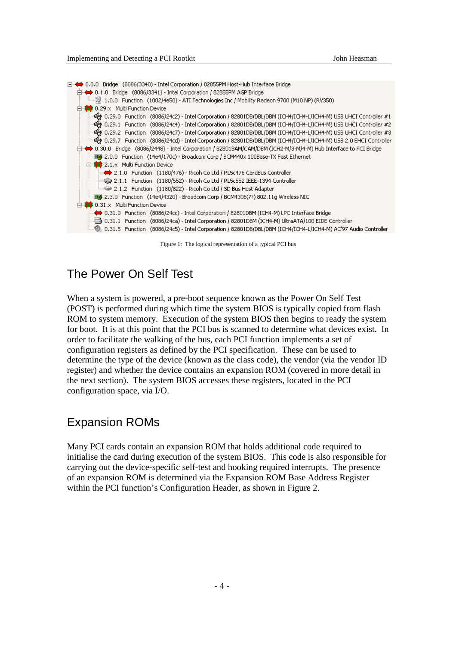□ < 0.0.0 Bridge (8086/3340) - Intel Corporation / 82855PM Host-Hub Interface Bridge D.1.0 Bridge (8086/3341) - Intel Corporation / 82855PM AGP Bridge □ 10.29.x Multi Function Device - 순 0.29.0 Function (8086/24c2) - Intel Corporation / 82801DB/DBL/DBM (ICH4/ICH4-L/ICH4-M) USB UHCI Controller #1 € 1,29,1 Function (8086/24c4) - Intel Corporation / 82801DB/DBL/DBM (ICH4/ICH4-L/ICH4-M) USB UHCI Controller #2-白…◆ 0.30.0 Bridge (8086/2448) - Intel Corporation / 82801BAM/CAM/DBM (ICH2-M/3-M/4-M) Hub Interface to PCI Bridge 白· <sup>1</sup> 2.1.x Multi Function Device ... < 2.1.0 Function (1180/476) - Ricoh Co Ltd / RL5c476 CardBus Controller 2.1.1 Function (1180/552) - Ricoh Co Ltd / RL5c552 IEEE-1394 Controller .....画图 2.3.0 Function (14e4/4320) - Broadcom Corp / BCM4306(??) 802.11g Wireless NIC □ 0.31.x Multi Function Device → 0.31.0 Function (8086/24cc) - Intel Corporation / 82801DBM (ICH4-M) LPC Interface Bridge - 0.31.1 Function (8086/24ca) - Intel Corporation / 82801DBM (ICH4-M) UltraATA/100 EIDE Controller 0.31.5 Function (8086/24c5) - Intel Corporation / 82801DB/DBL/DBM (ICH4/ICH4-L/ICH4-M) AC'97 Audio Controller (

#### Figure 1: The logical representation of a typical PCI bus

### The Power On Self Test

When a system is powered, a pre-boot sequence known as the Power On Self Test (POST) is performed during which time the system BIOS is typically copied from flash ROM to system memory. Execution of the system BIOS then begins to ready the system for boot. It is at this point that the PCI bus is scanned to determine what devices exist. In order to facilitate the walking of the bus, each PCI function implements a set of configuration registers as defined by the PCI specification. These can be used to determine the type of the device (known as the class code), the vendor (via the vendor ID register) and whether the device contains an expansion ROM (covered in more detail in the next section). The system BIOS accesses these registers, located in the PCI configuration space, via I/O.

### Expansion ROMs

Many PCI cards contain an expansion ROM that holds additional code required to initialise the card during execution of the system BIOS. This code is also responsible for carrying out the device-specific self-test and hooking required interrupts. The presence of an expansion ROM is determined via the Expansion ROM Base Address Register within the PCI function's Configuration Header, as shown in Figure 2.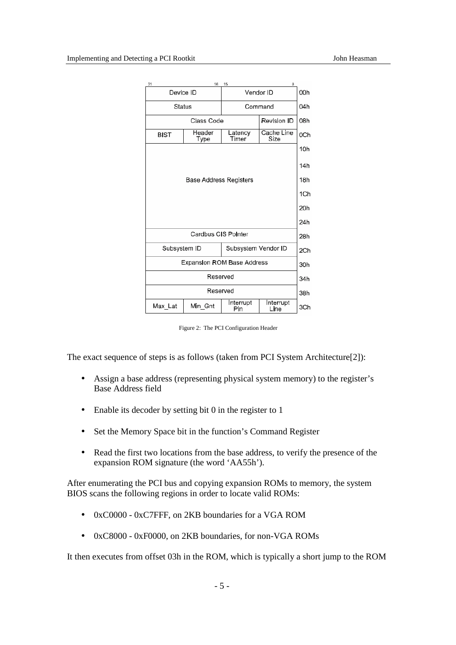

Figure 2: The PCI Configuration Header

The exact sequence of steps is as follows (taken from PCI System Architecture[2]):

- Assign a base address (representing physical system memory) to the register's Base Address field
- Enable its decoder by setting bit 0 in the register to 1
- Set the Memory Space bit in the function's Command Register
- Read the first two locations from the base address, to verify the presence of the expansion ROM signature (the word 'AA55h').

After enumerating the PCI bus and copying expansion ROMs to memory, the system BIOS scans the following regions in order to locate valid ROMs:

- 0xC0000 0xC7FFF, on 2KB boundaries for a VGA ROM
- 0xC8000 0xF0000, on 2KB boundaries, for non-VGA ROMs

It then executes from offset 03h in the ROM, which is typically a short jump to the ROM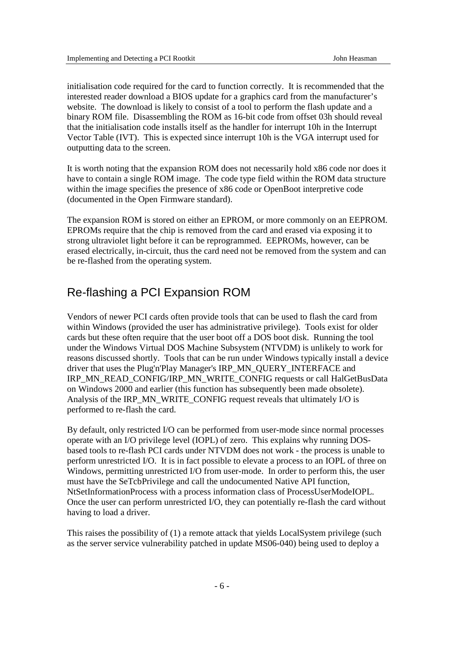initialisation code required for the card to function correctly. It is recommended that the interested reader download a BIOS update for a graphics card from the manufacturer's website. The download is likely to consist of a tool to perform the flash update and a binary ROM file. Disassembling the ROM as 16-bit code from offset 03h should reveal that the initialisation code installs itself as the handler for interrupt 10h in the Interrupt Vector Table (IVT). This is expected since interrupt 10h is the VGA interrupt used for outputting data to the screen.

It is worth noting that the expansion ROM does not necessarily hold x86 code nor does it have to contain a single ROM image. The code type field within the ROM data structure within the image specifies the presence of x86 code or OpenBoot interpretive code (documented in the Open Firmware standard).

The expansion ROM is stored on either an EPROM, or more commonly on an EEPROM. EPROMs require that the chip is removed from the card and erased via exposing it to strong ultraviolet light before it can be reprogrammed. EEPROMs, however, can be erased electrically, in-circuit, thus the card need not be removed from the system and can be re-flashed from the operating system.

## Re-flashing a PCI Expansion ROM

Vendors of newer PCI cards often provide tools that can be used to flash the card from within Windows (provided the user has administrative privilege). Tools exist for older cards but these often require that the user boot off a DOS boot disk. Running the tool under the Windows Virtual DOS Machine Subsystem (NTVDM) is unlikely to work for reasons discussed shortly. Tools that can be run under Windows typically install a device driver that uses the Plug'n'Play Manager's IRP\_MN\_QUERY\_INTERFACE and IRP\_MN\_READ\_CONFIG/IRP\_MN\_WRITE\_CONFIG requests or call HalGetBusData on Windows 2000 and earlier (this function has subsequently been made obsolete). Analysis of the IRP\_MN\_WRITE\_CONFIG request reveals that ultimately I/O is performed to re-flash the card.

By default, only restricted I/O can be performed from user-mode since normal processes operate with an I/O privilege level (IOPL) of zero. This explains why running DOSbased tools to re-flash PCI cards under NTVDM does not work - the process is unable to perform unrestricted I/O. It is in fact possible to elevate a process to an IOPL of three on Windows, permitting unrestricted I/O from user-mode. In order to perform this, the user must have the SeTcbPrivilege and call the undocumented Native API function, NtSetInformationProcess with a process information class of ProcessUserModeIOPL. Once the user can perform unrestricted I/O, they can potentially re-flash the card without having to load a driver.

This raises the possibility of (1) a remote attack that yields LocalSystem privilege (such as the server service vulnerability patched in update MS06-040) being used to deploy a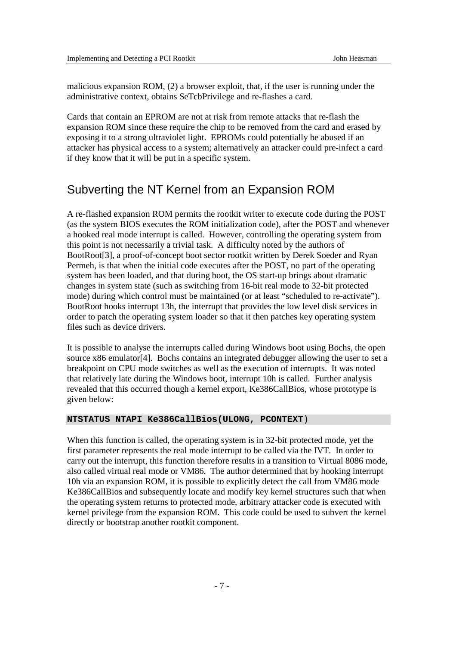malicious expansion ROM, (2) a browser exploit, that, if the user is running under the administrative context, obtains SeTcbPrivilege and re-flashes a card.

Cards that contain an EPROM are not at risk from remote attacks that re-flash the expansion ROM since these require the chip to be removed from the card and erased by exposing it to a strong ultraviolet light. EPROMs could potentially be abused if an attacker has physical access to a system; alternatively an attacker could pre-infect a card if they know that it will be put in a specific system.

## Subverting the NT Kernel from an Expansion ROM

A re-flashed expansion ROM permits the rootkit writer to execute code during the POST (as the system BIOS executes the ROM initialization code), after the POST and whenever a hooked real mode interrupt is called. However, controlling the operating system from this point is not necessarily a trivial task. A difficulty noted by the authors of BootRoot[3], a proof-of-concept boot sector rootkit written by Derek Soeder and Ryan Permeh, is that when the initial code executes after the POST, no part of the operating system has been loaded, and that during boot, the OS start-up brings about dramatic changes in system state (such as switching from 16-bit real mode to 32-bit protected mode) during which control must be maintained (or at least "scheduled to re-activate"). BootRoot hooks interrupt 13h, the interrupt that provides the low level disk services in order to patch the operating system loader so that it then patches key operating system files such as device drivers.

It is possible to analyse the interrupts called during Windows boot using Bochs, the open source x86 emulator<sup>[4]</sup>. Bochs contains an integrated debugger allowing the user to set a breakpoint on CPU mode switches as well as the execution of interrupts. It was noted that relatively late during the Windows boot, interrupt 10h is called. Further analysis revealed that this occurred though a kernel export, Ke386CallBios, whose prototype is given below:

#### **NTSTATUS NTAPI Ke386CallBios(ULONG, PCONTEXT**)

When this function is called, the operating system is in 32-bit protected mode, yet the first parameter represents the real mode interrupt to be called via the IVT. In order to carry out the interrupt, this function therefore results in a transition to Virtual 8086 mode, also called virtual real mode or VM86. The author determined that by hooking interrupt 10h via an expansion ROM, it is possible to explicitly detect the call from VM86 mode Ke386CallBios and subsequently locate and modify key kernel structures such that when the operating system returns to protected mode, arbitrary attacker code is executed with kernel privilege from the expansion ROM. This code could be used to subvert the kernel directly or bootstrap another rootkit component.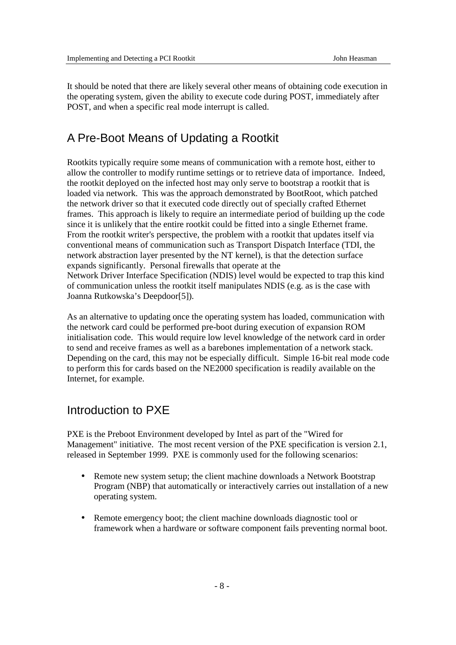It should be noted that there are likely several other means of obtaining code execution in the operating system, given the ability to execute code during POST, immediately after POST, and when a specific real mode interrupt is called.

# A Pre-Boot Means of Updating a Rootkit

Rootkits typically require some means of communication with a remote host, either to allow the controller to modify runtime settings or to retrieve data of importance. Indeed, the rootkit deployed on the infected host may only serve to bootstrap a rootkit that is loaded via network. This was the approach demonstrated by BootRoot, which patched the network driver so that it executed code directly out of specially crafted Ethernet frames. This approach is likely to require an intermediate period of building up the code since it is unlikely that the entire rootkit could be fitted into a single Ethernet frame. From the rootkit writer's perspective, the problem with a rootkit that updates itself via conventional means of communication such as Transport Dispatch Interface (TDI, the network abstraction layer presented by the NT kernel), is that the detection surface expands significantly. Personal firewalls that operate at the Network Driver Interface Specification (NDIS) level would be expected to trap this kind of communication unless the rootkit itself manipulates NDIS (e.g. as is the case with Joanna Rutkowska's Deepdoor[5]).

As an alternative to updating once the operating system has loaded, communication with the network card could be performed pre-boot during execution of expansion ROM initialisation code. This would require low level knowledge of the network card in order to send and receive frames as well as a barebones implementation of a network stack. Depending on the card, this may not be especially difficult. Simple 16-bit real mode code to perform this for cards based on the NE2000 specification is readily available on the Internet, for example.

## Introduction to PXE

PXE is the Preboot Environment developed by Intel as part of the "Wired for Management" initiative. The most recent version of the PXE specification is version 2.1, released in September 1999. PXE is commonly used for the following scenarios:

- Remote new system setup; the client machine downloads a Network Bootstrap Program (NBP) that automatically or interactively carries out installation of a new operating system.
- Remote emergency boot; the client machine downloads diagnostic tool or framework when a hardware or software component fails preventing normal boot.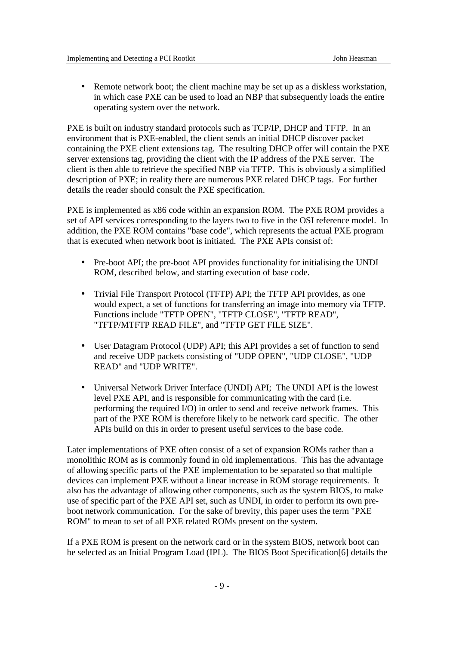• Remote network boot; the client machine may be set up as a diskless workstation, in which case PXE can be used to load an NBP that subsequently loads the entire operating system over the network.

PXE is built on industry standard protocols such as TCP/IP, DHCP and TFTP. In an environment that is PXE-enabled, the client sends an initial DHCP discover packet containing the PXE client extensions tag. The resulting DHCP offer will contain the PXE server extensions tag, providing the client with the IP address of the PXE server. The client is then able to retrieve the specified NBP via TFTP. This is obviously a simplified description of PXE; in reality there are numerous PXE related DHCP tags. For further details the reader should consult the PXE specification.

PXE is implemented as x86 code within an expansion ROM. The PXE ROM provides a set of API services corresponding to the layers two to five in the OSI reference model. In addition, the PXE ROM contains "base code", which represents the actual PXE program that is executed when network boot is initiated. The PXE APIs consist of:

- Pre-boot API; the pre-boot API provides functionality for initialising the UNDI ROM, described below, and starting execution of base code.
- Trivial File Transport Protocol (TFTP) API; the TFTP API provides, as one would expect, a set of functions for transferring an image into memory via TFTP. Functions include "TFTP OPEN", "TFTP CLOSE", "TFTP READ", "TFTP/MTFTP READ FILE", and "TFTP GET FILE SIZE".
- User Datagram Protocol (UDP) API; this API provides a set of function to send and receive UDP packets consisting of "UDP OPEN", "UDP CLOSE", "UDP READ" and "UDP WRITE".
- Universal Network Driver Interface (UNDI) API; The UNDI API is the lowest level PXE API, and is responsible for communicating with the card (i.e. performing the required I/O) in order to send and receive network frames. This part of the PXE ROM is therefore likely to be network card specific. The other APIs build on this in order to present useful services to the base code.

Later implementations of PXE often consist of a set of expansion ROMs rather than a monolithic ROM as is commonly found in old implementations. This has the advantage of allowing specific parts of the PXE implementation to be separated so that multiple devices can implement PXE without a linear increase in ROM storage requirements. It also has the advantage of allowing other components, such as the system BIOS, to make use of specific part of the PXE API set, such as UNDI, in order to perform its own preboot network communication. For the sake of brevity, this paper uses the term "PXE ROM" to mean to set of all PXE related ROMs present on the system.

If a PXE ROM is present on the network card or in the system BIOS, network boot can be selected as an Initial Program Load (IPL). The BIOS Boot Specification[6] details the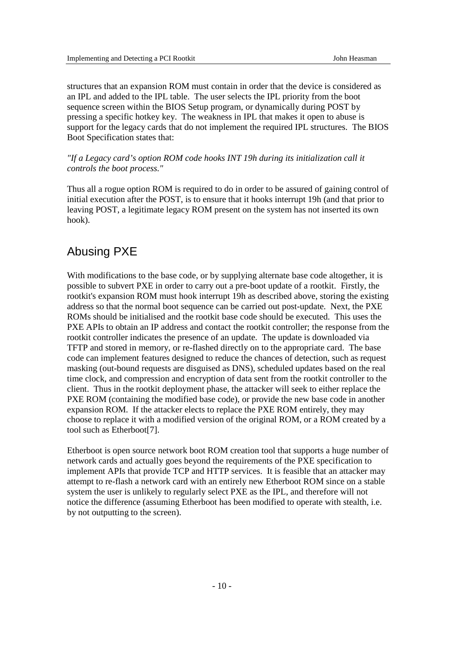structures that an expansion ROM must contain in order that the device is considered as an IPL and added to the IPL table. The user selects the IPL priority from the boot sequence screen within the BIOS Setup program, or dynamically during POST by pressing a specific hotkey key. The weakness in IPL that makes it open to abuse is support for the legacy cards that do not implement the required IPL structures. The BIOS Boot Specification states that:

### *"If a Legacy card's option ROM code hooks INT 19h during its initialization call it controls the boot process."*

Thus all a rogue option ROM is required to do in order to be assured of gaining control of initial execution after the POST, is to ensure that it hooks interrupt 19h (and that prior to leaving POST, a legitimate legacy ROM present on the system has not inserted its own hook).

### Abusing PXE

With modifications to the base code, or by supplying alternate base code altogether, it is possible to subvert PXE in order to carry out a pre-boot update of a rootkit. Firstly, the rootkit's expansion ROM must hook interrupt 19h as described above, storing the existing address so that the normal boot sequence can be carried out post-update. Next, the PXE ROMs should be initialised and the rootkit base code should be executed. This uses the PXE APIs to obtain an IP address and contact the rootkit controller; the response from the rootkit controller indicates the presence of an update. The update is downloaded via TFTP and stored in memory, or re-flashed directly on to the appropriate card. The base code can implement features designed to reduce the chances of detection, such as request masking (out-bound requests are disguised as DNS), scheduled updates based on the real time clock, and compression and encryption of data sent from the rootkit controller to the client. Thus in the rootkit deployment phase, the attacker will seek to either replace the PXE ROM (containing the modified base code), or provide the new base code in another expansion ROM. If the attacker elects to replace the PXE ROM entirely, they may choose to replace it with a modified version of the original ROM, or a ROM created by a tool such as Etherboot[7].

Etherboot is open source network boot ROM creation tool that supports a huge number of network cards and actually goes beyond the requirements of the PXE specification to implement APIs that provide TCP and HTTP services. It is feasible that an attacker may attempt to re-flash a network card with an entirely new Etherboot ROM since on a stable system the user is unlikely to regularly select PXE as the IPL, and therefore will not notice the difference (assuming Etherboot has been modified to operate with stealth, i.e. by not outputting to the screen).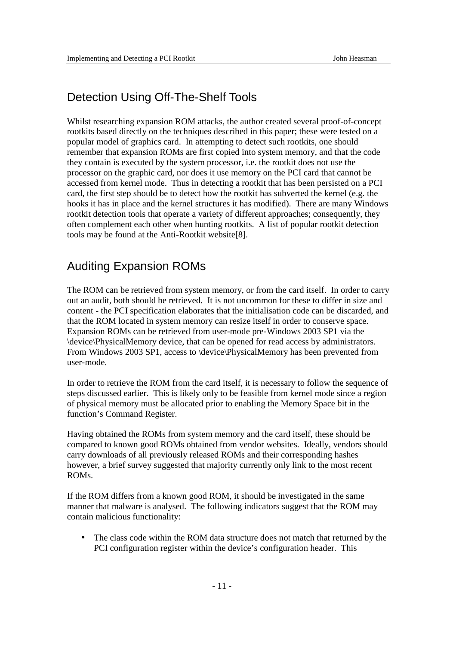# Detection Using Off-The-Shelf Tools

Whilst researching expansion ROM attacks, the author created several proof-of-concept rootkits based directly on the techniques described in this paper; these were tested on a popular model of graphics card. In attempting to detect such rootkits, one should remember that expansion ROMs are first copied into system memory, and that the code they contain is executed by the system processor, i.e. the rootkit does not use the processor on the graphic card, nor does it use memory on the PCI card that cannot be accessed from kernel mode. Thus in detecting a rootkit that has been persisted on a PCI card, the first step should be to detect how the rootkit has subverted the kernel (e.g. the hooks it has in place and the kernel structures it has modified). There are many Windows rootkit detection tools that operate a variety of different approaches; consequently, they often complement each other when hunting rootkits. A list of popular rootkit detection tools may be found at the Anti-Rootkit website[8].

## Auditing Expansion ROMs

The ROM can be retrieved from system memory, or from the card itself. In order to carry out an audit, both should be retrieved. It is not uncommon for these to differ in size and content - the PCI specification elaborates that the initialisation code can be discarded, and that the ROM located in system memory can resize itself in order to conserve space. Expansion ROMs can be retrieved from user-mode pre-Windows 2003 SP1 via the \device\PhysicalMemory device, that can be opened for read access by administrators. From Windows 2003 SP1, access to \device\PhysicalMemory has been prevented from user-mode.

In order to retrieve the ROM from the card itself, it is necessary to follow the sequence of steps discussed earlier. This is likely only to be feasible from kernel mode since a region of physical memory must be allocated prior to enabling the Memory Space bit in the function's Command Register.

Having obtained the ROMs from system memory and the card itself, these should be compared to known good ROMs obtained from vendor websites. Ideally, vendors should carry downloads of all previously released ROMs and their corresponding hashes however, a brief survey suggested that majority currently only link to the most recent ROMs.

If the ROM differs from a known good ROM, it should be investigated in the same manner that malware is analysed. The following indicators suggest that the ROM may contain malicious functionality:

• The class code within the ROM data structure does not match that returned by the PCI configuration register within the device's configuration header. This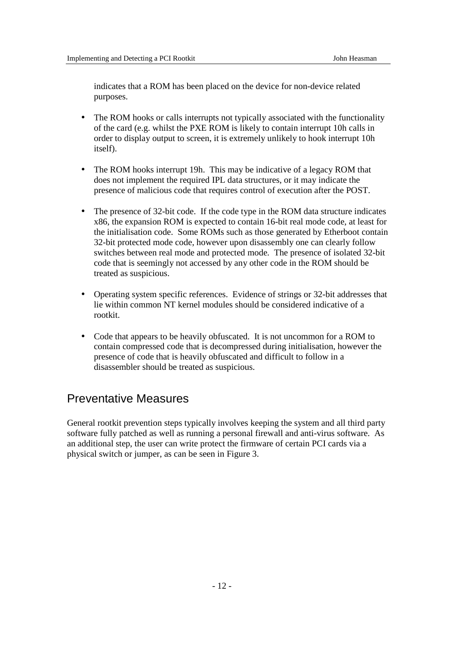indicates that a ROM has been placed on the device for non-device related purposes.

- The ROM hooks or calls interrupts not typically associated with the functionality of the card (e.g. whilst the PXE ROM is likely to contain interrupt 10h calls in order to display output to screen, it is extremely unlikely to hook interrupt 10h itself).
- The ROM hooks interrupt 19h. This may be indicative of a legacy ROM that does not implement the required IPL data structures, or it may indicate the presence of malicious code that requires control of execution after the POST.
- The presence of 32-bit code. If the code type in the ROM data structure indicates x86, the expansion ROM is expected to contain 16-bit real mode code, at least for the initialisation code. Some ROMs such as those generated by Etherboot contain 32-bit protected mode code, however upon disassembly one can clearly follow switches between real mode and protected mode. The presence of isolated 32-bit code that is seemingly not accessed by any other code in the ROM should be treated as suspicious.
- Operating system specific references. Evidence of strings or 32-bit addresses that lie within common NT kernel modules should be considered indicative of a rootkit.
- Code that appears to be heavily obfuscated. It is not uncommon for a ROM to contain compressed code that is decompressed during initialisation, however the presence of code that is heavily obfuscated and difficult to follow in a disassembler should be treated as suspicious.

# Preventative Measures

General rootkit prevention steps typically involves keeping the system and all third party software fully patched as well as running a personal firewall and anti-virus software. As an additional step, the user can write protect the firmware of certain PCI cards via a physical switch or jumper, as can be seen in Figure 3.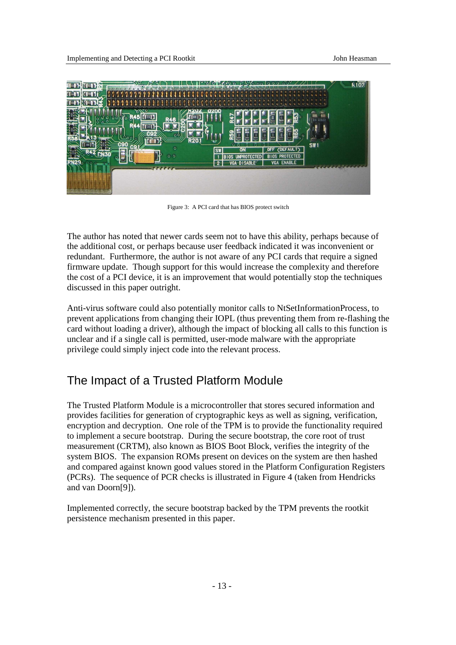

Figure 3: A PCI card that has BIOS protect switch

The author has noted that newer cards seem not to have this ability, perhaps because of the additional cost, or perhaps because user feedback indicated it was inconvenient or redundant. Furthermore, the author is not aware of any PCI cards that require a signed firmware update. Though support for this would increase the complexity and therefore the cost of a PCI device, it is an improvement that would potentially stop the techniques discussed in this paper outright.

Anti-virus software could also potentially monitor calls to NtSetInformationProcess, to prevent applications from changing their IOPL (thus preventing them from re-flashing the card without loading a driver), although the impact of blocking all calls to this function is unclear and if a single call is permitted, user-mode malware with the appropriate privilege could simply inject code into the relevant process.

# The Impact of a Trusted Platform Module

The Trusted Platform Module is a microcontroller that stores secured information and provides facilities for generation of cryptographic keys as well as signing, verification, encryption and decryption. One role of the TPM is to provide the functionality required to implement a secure bootstrap. During the secure bootstrap, the core root of trust measurement (CRTM), also known as BIOS Boot Block, verifies the integrity of the system BIOS. The expansion ROMs present on devices on the system are then hashed and compared against known good values stored in the Platform Configuration Registers (PCRs). The sequence of PCR checks is illustrated in Figure 4 (taken from Hendricks and van Doorn[9]).

Implemented correctly, the secure bootstrap backed by the TPM prevents the rootkit persistence mechanism presented in this paper.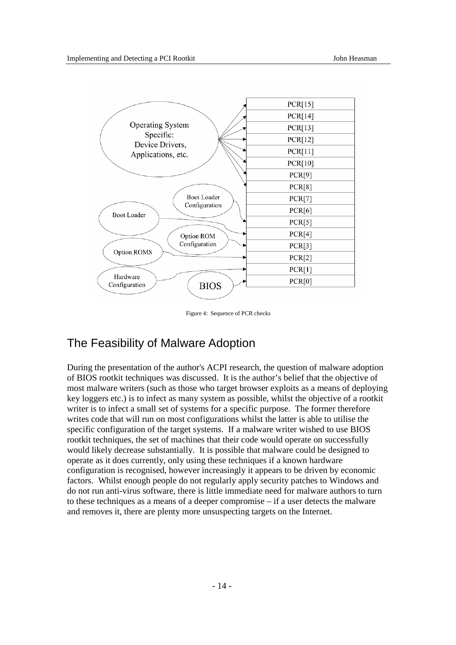

Figure 4: Sequence of PCR checks

## The Feasibility of Malware Adoption

During the presentation of the author's ACPI research, the question of malware adoption of BIOS rootkit techniques was discussed. It is the author's belief that the objective of most malware writers (such as those who target browser exploits as a means of deploying key loggers etc.) is to infect as many system as possible, whilst the objective of a rootkit writer is to infect a small set of systems for a specific purpose. The former therefore writes code that will run on most configurations whilst the latter is able to utilise the specific configuration of the target systems. If a malware writer wished to use BIOS rootkit techniques, the set of machines that their code would operate on successfully would likely decrease substantially. It is possible that malware could be designed to operate as it does currently, only using these techniques if a known hardware configuration is recognised, however increasingly it appears to be driven by economic factors. Whilst enough people do not regularly apply security patches to Windows and do not run anti-virus software, there is little immediate need for malware authors to turn to these techniques as a means of a deeper compromise – if a user detects the malware and removes it, there are plenty more unsuspecting targets on the Internet.